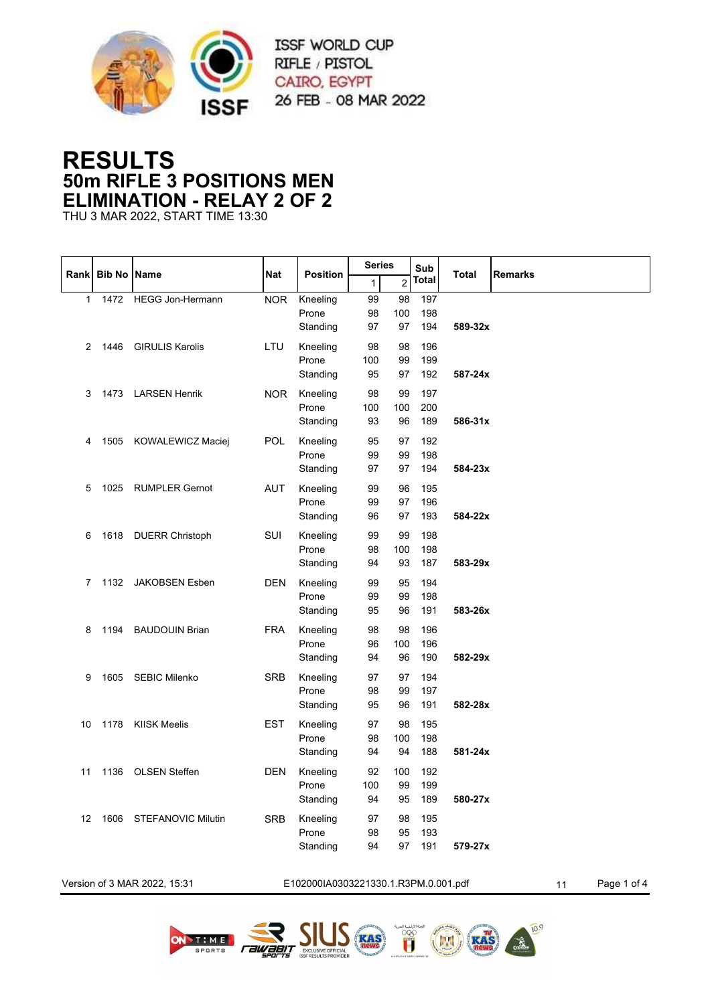

## **RESULTS 50m RIFLE 3 POSITIONS MEN ELIMINATION - RELAY 2 OF 2**

THU 3 MAR 2022, START TIME 13:30

|             |                    |                              |            |                                      | <b>Series</b>   |                 | Sub               |         |                   |
|-------------|--------------------|------------------------------|------------|--------------------------------------|-----------------|-----------------|-------------------|---------|-------------------|
| <b>Rank</b> | <b>Bib No Name</b> |                              | <b>Nat</b> | <b>Position</b>                      | 1               | $\overline{c}$  | Total             | Total   | <b>Remarks</b>    |
| 1           | 1472               | <b>HEGG Jon-Hermann</b>      | <b>NOR</b> | Kneeling<br>Prone<br>Standing        | 99<br>98<br>97  | 98<br>100<br>97 | 197<br>198<br>194 | 589-32x |                   |
| 2           | 1446               | <b>GIRULIS Karolis</b>       | LTU        | Kneeling<br>Prone<br>Standing        | 98<br>100<br>95 | 98<br>99<br>97  | 196<br>199<br>192 | 587-24x |                   |
| 3           |                    | 1473 LARSEN Henrik           | <b>NOR</b> | Kneeling<br>Prone<br>Standing        | 98<br>100<br>93 | 99<br>100<br>96 | 197<br>200<br>189 | 586-31x |                   |
| 4           |                    | 1505 KOWALEWICZ Maciej       | <b>POL</b> | Kneeling<br>Prone<br>Standing        | 95<br>99<br>97  | 97<br>99<br>97  | 192<br>198<br>194 | 584-23x |                   |
| 5           | 1025               | <b>RUMPLER Gernot</b>        | <b>AUT</b> | Kneeling<br>Prone<br>Standing        | 99<br>99<br>96  | 96<br>97<br>97  | 195<br>196<br>193 | 584-22x |                   |
| 6           |                    | 1618 DUERR Christoph         | SUI        | Kneeling<br>Prone<br>Standing        | 99<br>98<br>94  | 99<br>100<br>93 | 198<br>198<br>187 | 583-29x |                   |
| 7           | 1132               | <b>JAKOBSEN Esben</b>        | DEN        | Kneeling<br>Prone<br>Standing        | 99<br>99<br>95  | 95<br>99<br>96  | 194<br>198<br>191 | 583-26x |                   |
| 8           |                    | 1194 BAUDOUIN Brian          | <b>FRA</b> | Kneeling<br>Prone<br>Standing        | 98<br>96<br>94  | 98<br>100<br>96 | 196<br>196<br>190 | 582-29x |                   |
| 9           |                    | 1605 SEBIC Milenko           | <b>SRB</b> | Kneeling<br>Prone<br>Standing        | 97<br>98<br>95  | 97<br>99<br>96  | 194<br>197<br>191 | 582-28x |                   |
| 10          |                    | 1178 KIISK Meelis            | <b>EST</b> | Kneeling<br>Prone<br>Standing        | 97<br>98<br>94  | 98<br>100<br>94 | 195<br>198<br>188 | 581-24x |                   |
| 11          | 1136               | <b>OLSEN Steffen</b>         | <b>DEN</b> | Kneeling<br>Prone<br>Standing        | 92<br>100<br>94 | 100<br>99<br>95 | 192<br>199<br>189 | 580-27x |                   |
| 12          |                    | 1606 STEFANOVIC Milutin      | <b>SRB</b> | Kneeling<br>Prone<br>Standing        | 97<br>98<br>94  | 98<br>95<br>97  | 195<br>193<br>191 | 579-27x |                   |
|             |                    | Version of 3 MAR 2022, 15:31 |            | E102000IA0303221330.1.R3PM.0.001.pdf |                 |                 |                   |         | Page 1 of 4<br>11 |









 $10.9$ 

**RAS**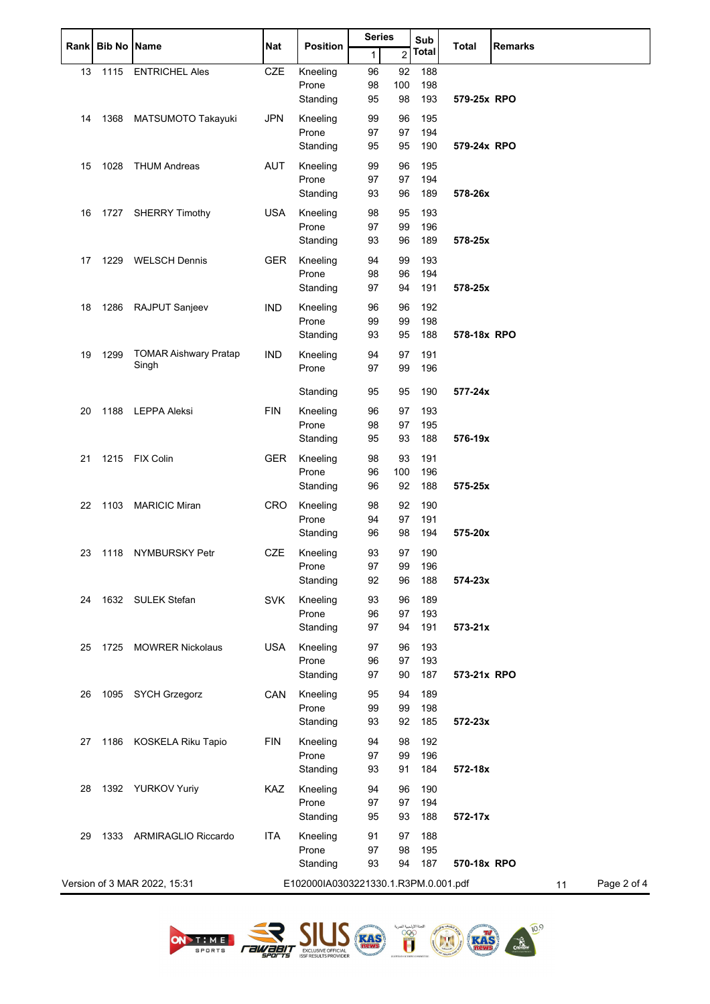|    | Rank Bib No Name |                              |            |                                      | Series |                | Sub          | <b>Total</b> |                   |  |
|----|------------------|------------------------------|------------|--------------------------------------|--------|----------------|--------------|--------------|-------------------|--|
|    |                  |                              | <b>Nat</b> | <b>Position</b>                      | 1      | $\overline{c}$ | <b>Total</b> |              | <b>Remarks</b>    |  |
| 13 | 1115             | <b>ENTRICHEL Ales</b>        | <b>CZE</b> | Kneeling                             | 96     | 92             | 188          |              |                   |  |
|    |                  |                              |            | Prone                                | 98     | 100            | 198          |              |                   |  |
|    |                  |                              |            | Standing                             | 95     | 98             | 193          | 579-25x RPO  |                   |  |
| 14 | 1368             | MATSUMOTO Takayuki           | <b>JPN</b> | Kneeling                             | 99     | 96             | 195          |              |                   |  |
|    |                  |                              |            | Prone                                | 97     | 97             | 194          |              |                   |  |
|    |                  |                              |            | Standing                             | 95     | 95             | 190          | 579-24x RPO  |                   |  |
| 15 | 1028             | <b>THUM Andreas</b>          | <b>AUT</b> | Kneeling                             | 99     | 96             | 195          |              |                   |  |
|    |                  |                              |            | Prone                                | 97     | 97             | 194          |              |                   |  |
|    |                  |                              |            | Standing                             | 93     | 96             | 189          | 578-26x      |                   |  |
| 16 |                  | 1727 SHERRY Timothy          | <b>USA</b> | Kneeling                             | 98     | 95             | 193          |              |                   |  |
|    |                  |                              |            | Prone                                | 97     | 99             | 196          |              |                   |  |
|    |                  |                              |            | Standing                             | 93     | 96             | 189          | 578-25x      |                   |  |
| 17 | 1229             | <b>WELSCH Dennis</b>         | <b>GER</b> | Kneeling                             | 94     | 99             | 193          |              |                   |  |
|    |                  |                              |            | Prone                                | 98     | 96             | 194          |              |                   |  |
|    |                  |                              |            | Standing                             | 97     | 94             | 191          | 578-25x      |                   |  |
| 18 | 1286             | RAJPUT Sanjeev               | IND        | Kneeling                             | 96     | 96             | 192          |              |                   |  |
|    |                  |                              |            | Prone                                | 99     | 99             | 198          |              |                   |  |
|    |                  |                              |            | Standing                             | 93     | 95             | 188          | 578-18x RPO  |                   |  |
| 19 | 1299             | <b>TOMAR Aishwary Pratap</b> | <b>IND</b> | Kneeling                             | 94     | 97             | 191          |              |                   |  |
|    |                  | Singh                        |            | Prone                                | 97     | 99             | 196          |              |                   |  |
|    |                  |                              |            |                                      |        |                |              | 577-24x      |                   |  |
|    |                  |                              |            | Standing                             | 95     | 95             | 190          |              |                   |  |
| 20 |                  | 1188 LEPPA Aleksi            | <b>FIN</b> | Kneeling                             | 96     | 97             | 193          |              |                   |  |
|    |                  |                              |            | Prone                                | 98     | 97             | 195          |              |                   |  |
|    |                  |                              |            | Standing                             | 95     | 93             | 188          | 576-19x      |                   |  |
| 21 | 1215             | <b>FIX Colin</b>             | <b>GER</b> | Kneeling                             | 98     | 93             | 191          |              |                   |  |
|    |                  |                              |            | Prone                                | 96     | 100            | 196          |              |                   |  |
|    |                  |                              |            | Standing                             | 96     | 92             | 188          | 575-25x      |                   |  |
| 22 | 1103             | <b>MARICIC Miran</b>         | <b>CRO</b> | Kneeling                             | 98     | 92             | 190          |              |                   |  |
|    |                  |                              |            | Prone                                | 94     | 97             | 191          |              |                   |  |
|    |                  |                              |            | Standing                             | 96     | 98             | 194          | 575-20x      |                   |  |
| 23 |                  | 1118 NYMBURSKY Petr          | CZE        | Kneeling                             | 93     | 97             | 190          |              |                   |  |
|    |                  |                              |            | Prone                                | 97     | 99             | 196          |              |                   |  |
|    |                  |                              |            | Standing                             | 92     | 96             | 188          | 574-23x      |                   |  |
| 24 |                  | 1632 SULEK Stefan            | <b>SVK</b> | Kneeling                             | 93     | 96             | 189          |              |                   |  |
|    |                  |                              |            | Prone                                | 96     | 97             | 193          |              |                   |  |
|    |                  |                              |            | Standing                             | 97     | 94             | 191          | $573 - 21x$  |                   |  |
| 25 | 1725             | <b>MOWRER Nickolaus</b>      | <b>USA</b> | Kneeling                             | 97     | 96             | 193          |              |                   |  |
|    |                  |                              |            | Prone                                | 96     | 97             | 193          |              |                   |  |
|    |                  |                              |            | Standing                             | 97     | 90             | 187          | 573-21x RPO  |                   |  |
| 26 |                  | 1095 SYCH Grzegorz           | CAN        | Kneeling                             | 95     | 94             | 189          |              |                   |  |
|    |                  |                              |            | Prone                                | 99     | 99             | 198          |              |                   |  |
|    |                  |                              |            | Standing                             | 93     | 92             | 185          | 572-23x      |                   |  |
| 27 | 1186             | KOSKELA Riku Tapio           | <b>FIN</b> | Kneeling                             | 94     | 98             | 192          |              |                   |  |
|    |                  |                              |            | Prone                                | 97     | 99             | 196          |              |                   |  |
|    |                  |                              |            | Standing                             | 93     | 91             | 184          | 572-18x      |                   |  |
| 28 |                  | 1392 YURKOV Yuriy            | KAZ        | Kneeling                             | 94     | 96             | 190          |              |                   |  |
|    |                  |                              |            | Prone                                | 97     | 97             | 194          |              |                   |  |
|    |                  |                              |            | Standing                             | 95     | 93             | 188          | 572-17x      |                   |  |
| 29 | 1333             | ARMIRAGLIO Riccardo          | <b>ITA</b> | Kneeling                             | 91     | 97             | 188          |              |                   |  |
|    |                  |                              |            | Prone                                | 97     | 98             | 195          |              |                   |  |
|    |                  |                              |            | Standing                             | 93     | 94             | 187          | 570-18x RPO  |                   |  |
|    |                  | Version of 3 MAR 2022, 15:31 |            | E102000IA0303221330.1.R3PM.0.001.pdf |        |                |              |              | Page 2 of 4<br>11 |  |
|    |                  |                              |            |                                      |        |                |              |              |                   |  |







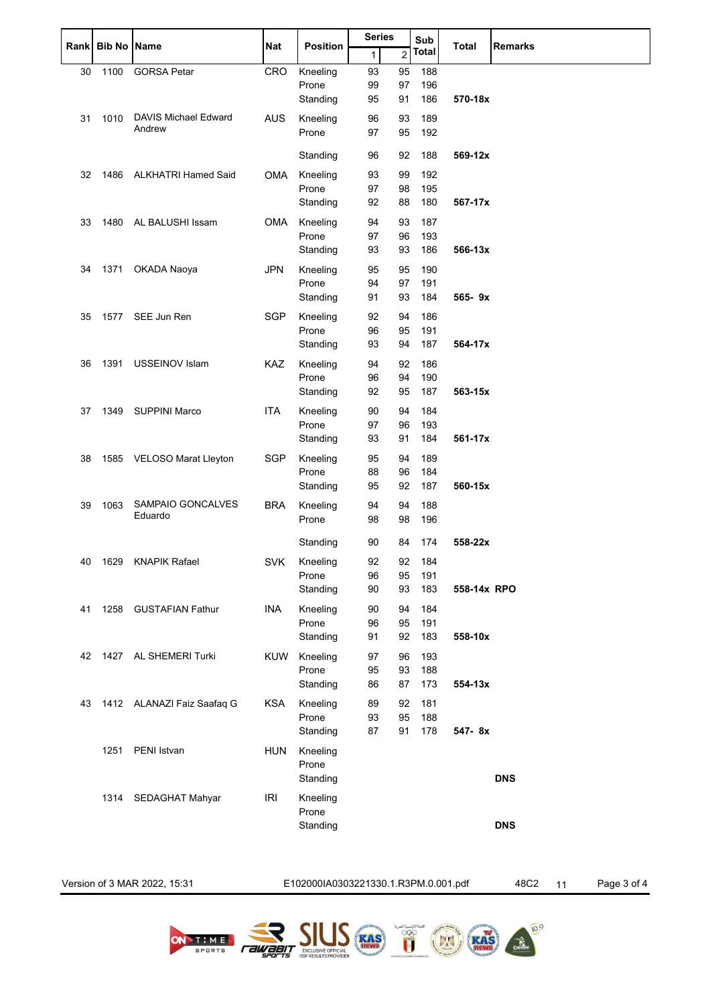|       | <b>Bib No</b> |                              |            | <b>Position</b>   | <b>Series</b> |                | Sub          | <b>Total</b> |                |
|-------|---------------|------------------------------|------------|-------------------|---------------|----------------|--------------|--------------|----------------|
| Rankl |               | <b>Name</b>                  | Nat        |                   | $\mathbf{1}$  | $\overline{c}$ | <b>Total</b> |              | <b>Remarks</b> |
| 30    | 1100          | <b>GORSA Petar</b>           | <b>CRO</b> | Kneeling          | 93            | 95             | 188          |              |                |
|       |               |                              |            | Prone             | 99            | 97             | 196          |              |                |
|       |               |                              |            | Standing          | 95            | 91             | 186          | 570-18x      |                |
| 31    | 1010          | <b>DAVIS Michael Edward</b>  | <b>AUS</b> | Kneeling          | 96            | 93             | 189          |              |                |
|       |               | Andrew                       |            | Prone             | 97            | 95             | 192          |              |                |
|       |               |                              |            | Standing          | 96            | 92             | 188          | 569-12x      |                |
|       |               |                              |            |                   |               |                |              |              |                |
| 32    | 1486          | <b>ALKHATRI Hamed Said</b>   | <b>OMA</b> | Kneeling<br>Prone | 93            | 99             | 192          |              |                |
|       |               |                              |            | Standing          | 97<br>92      | 98<br>88       | 195<br>180   | 567-17x      |                |
|       |               |                              |            |                   |               |                |              |              |                |
| 33    | 1480          | AL BALUSHI Issam             | OMA        | Kneeling          | 94            | 93             | 187          |              |                |
|       |               |                              |            | Prone<br>Standing | 97<br>93      | 96<br>93       | 193<br>186   | 566-13x      |                |
|       |               |                              |            |                   |               |                |              |              |                |
| 34    | 1371          | OKADA Naoya                  | <b>JPN</b> | Kneeling          | 95            | 95             | 190          |              |                |
|       |               |                              |            | Prone<br>Standing | 94<br>91      | 97<br>93       | 191<br>184   | 565-9x       |                |
|       |               |                              |            |                   |               |                |              |              |                |
| 35    | 1577          | SEE Jun Ren                  | <b>SGP</b> | Kneeling          | 92            | 94             | 186          |              |                |
|       |               |                              |            | Prone<br>Standing | 96<br>93      | 95<br>94       | 191<br>187   | 564-17x      |                |
|       |               |                              |            |                   |               |                |              |              |                |
| 36    | 1391          | USSEINOV Islam               | KAZ        | Kneeling          | 94            | 92             | 186          |              |                |
|       |               |                              |            | Prone             | 96            | 94             | 190          |              |                |
|       |               |                              |            | Standing          | 92            | 95             | 187          | 563-15x      |                |
| 37    | 1349          | <b>SUPPINI Marco</b>         | <b>ITA</b> | Kneeling          | 90            | 94             | 184          |              |                |
|       |               |                              |            | Prone             | 97            | 96             | 193          |              |                |
|       |               |                              |            | Standing          | 93            | 91             | 184          | 561-17x      |                |
| 38    | 1585          | VELOSO Marat Lleyton         | SGP        | Kneeling          | 95            | 94             | 189          |              |                |
|       |               |                              |            | Prone             | 88            | 96             | 184          |              |                |
|       |               |                              |            | Standing          | 95            | 92             | 187          | 560-15x      |                |
| 39    | 1063          | SAMPAIO GONCALVES<br>Eduardo | <b>BRA</b> | Kneeling          | 94            | 94             | 188          |              |                |
|       |               |                              |            | Prone             | 98            | 98             | 196          |              |                |
|       |               |                              |            | Standing          | 90            | 84             | 174          | 558-22x      |                |
|       |               | 40 1629 KNAPIK Rafael        | SVK        | Kneeling          | 92            | 92             | 184          |              |                |
|       |               |                              |            | Prone             | 96            | 95             | 191          |              |                |
|       |               |                              |            | Standing          | 90            | 93             | 183          | 558-14x RPO  |                |
| 41    |               | 1258 GUSTAFIAN Fathur        | INA        | Kneeling          | 90            | 94             | 184          |              |                |
|       |               |                              |            | Prone             | 96            | 95             | 191          |              |                |
|       |               |                              |            | Standing          | 91            | 92             | 183          | 558-10x      |                |
| 42    |               | 1427 AL SHEMERI Turki        | KUW        | Kneeling          | 97            | 96             | 193          |              |                |
|       |               |                              |            | Prone             | 95            | 93             | 188          |              |                |
|       |               |                              |            | Standing          | 86            | 87             | 173          | 554-13x      |                |
| 43    |               | 1412 ALANAZI Faiz Saafaq G   | <b>KSA</b> | Kneeling          | 89            | 92             | 181          |              |                |
|       |               |                              |            | Prone             | 93            | 95             | 188          |              |                |
|       |               |                              |            | Standing          | 87            | 91             | 178          | 547-8x       |                |
|       | 1251          | PENI Istvan                  | <b>HUN</b> | Kneeling          |               |                |              |              |                |
|       |               |                              |            | Prone             |               |                |              |              |                |
|       |               |                              |            | Standing          |               |                |              |              | <b>DNS</b>     |
|       | 1314          | SEDAGHAT Mahyar              | <b>IRI</b> | Kneeling          |               |                |              |              |                |
|       |               |                              |            | Prone             |               |                |              |              |                |
|       |               |                              |            | Standing          |               |                |              |              | <b>DNS</b>     |
|       |               |                              |            |                   |               |                |              |              |                |

Version of 3 MAR 2022, 15:31 E102000IA0303221330.1.R3PM.0.001.pdf 48C2 11 Page 3 of 4